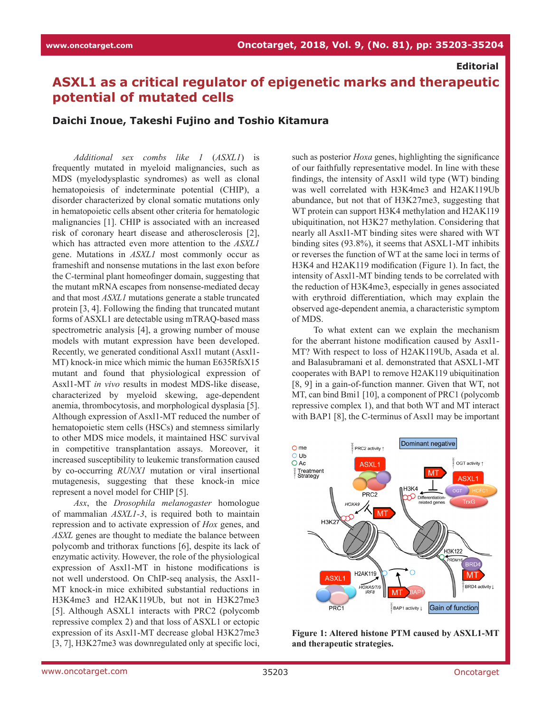## **Editorial**

## **ASXL1 as a critical regulator of epigenetic marks and therapeutic potential of mutated cells**

## **Daichi Inoue, Takeshi Fujino and Toshio Kitamura**

*Additional sex combs like 1* (*ASXL1*) is frequently mutated in myeloid malignancies, such as MDS (myelodysplastic syndromes) as well as clonal hematopoiesis of indeterminate potential (CHIP), a disorder characterized by clonal somatic mutations only in hematopoietic cells absent other criteria for hematologic malignancies [1]. CHIP is associated with an increased risk of coronary heart disease and atherosclerosis [2], which has attracted even more attention to the *ASXL1* gene. Mutations in *ASXL1* most commonly occur as frameshift and nonsense mutations in the last exon before the C-terminal plant homeofinger domain, suggesting that the mutant mRNA escapes from nonsense-mediated decay and that most *ASXL1* mutations generate a stable truncated protein [3, 4]. Following the finding that truncated mutant forms of ASXL1 are detectable using mTRAQ-based mass spectrometric analysis [4], a growing number of mouse models with mutant expression have been developed. Recently, we generated conditional Asxl1 mutant (Asxl1- MT) knock-in mice which mimic the human E635RfsX15 mutant and found that physiological expression of Asxl1-MT *in vivo* results in modest MDS-like disease, characterized by myeloid skewing, age-dependent anemia, thrombocytosis, and morphological dysplasia [5]. Although expression of Asxl1-MT reduced the number of hematopoietic stem cells (HSCs) and stemness similarly to other MDS mice models, it maintained HSC survival in competitive transplantation assays. Moreover, it increased susceptibility to leukemic transformation caused by co-occurring *RUNX1* mutation or viral insertional mutagenesis, suggesting that these knock-in mice represent a novel model for CHIP [5].

*Asx*, the *Drosophila melanogaster* homologue of mammalian *ASXL1-3*, is required both to maintain repression and to activate expression of *Hox* genes, and *ASXL* genes are thought to mediate the balance between polycomb and trithorax functions [6], despite its lack of enzymatic activity. However, the role of the physiological expression of Asxl1-MT in histone modifications is not well understood. On ChIP-seq analysis, the Asxl1- MT knock-in mice exhibited substantial reductions in H3K4me3 and H2AK119Ub, but not in H3K27me3 [5]. Although ASXL1 interacts with PRC2 (polycomb repressive complex 2) and that loss of ASXL1 or ectopic expression of its Asxl1-MT decrease global H3K27me3 [3, 7], H3K27me3 was downregulated only at specific loci,

such as posterior *Hoxa* genes, highlighting the significance of our faithfully representative model. In line with these findings, the intensity of Asxl1 wild type (WT) binding was well correlated with H3K4me3 and H2AK119Ub abundance, but not that of H3K27me3, suggesting that WT protein can support H3K4 methylation and H2AK119 ubiquitination, not H3K27 methylation. Considering that nearly all Asxl1-MT binding sites were shared with WT binding sites (93.8%), it seems that ASXL1-MT inhibits or reverses the function of WT at the same loci in terms of H3K4 and H2AK119 modification (Figure 1). In fact, the intensity of Asxl1-MT binding tends to be correlated with the reduction of H3K4me3, especially in genes associated with erythroid differentiation, which may explain the observed age-dependent anemia, a characteristic symptom of MDS.

To what extent can we explain the mechanism for the aberrant histone modification caused by Asxl1- MT? With respect to loss of H2AK119Ub, Asada et al. and Balasubramani et al. demonstrated that ASXL1-MT cooperates with BAP1 to remove H2AK119 ubiquitination [8, 9] in a gain-of-function manner. Given that WT, not MT, can bind Bmi1 [10], a component of PRC1 (polycomb repressive complex 1), and that both WT and MT interact with BAP1 [8], the C-terminus of Asxl1 may be important



**Figure 1: Altered histone PTM caused by ASXL1-MT and therapeutic strategies.**